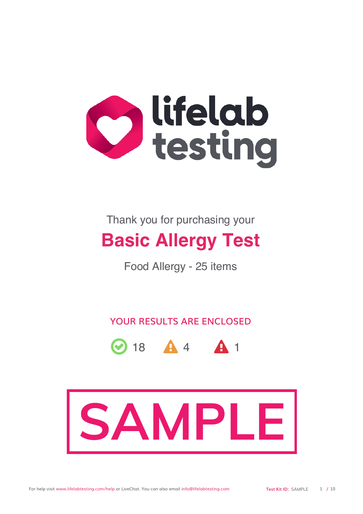

Thank you for purchasing your

# **Basic Allergy Test**

Food Allergy - 25 items

YOUR RESULTS ARE ENCLOSED



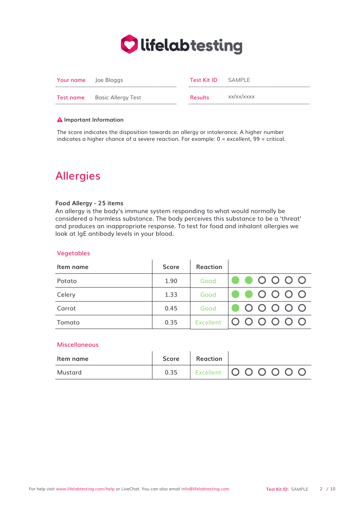

| <b>Your name</b> Joe Bloggs |                                     | <b>Test Kit ID</b> SAMPLE |            |
|-----------------------------|-------------------------------------|---------------------------|------------|
|                             | <b>Test name</b> Basic Allergy Test | <b>Results</b>            | xx/xx/xxxx |

#### **A** Important Information

The score indicates the disposition towards an allergy or intolerance. A higher number indicates a higher chance of a severe reaction. For example: 0 = excellent, 99 = critical.

# **Allergies**

#### Food Allergy - 25 items

An allergy is the body's immune system responding to what would normally be considered a harmless substance. The body perceives this substance to be a 'threat' and produces an inappropriate response. To test for food and inhalant allergies we look at IgE antibody levels in your blood.

#### Vegetables

| Item name | <b>Score</b> | <b>Reaction</b> |                                                                                    |
|-----------|--------------|-----------------|------------------------------------------------------------------------------------|
| Potato    | 1.90         | Good            | $\bullet \bullet$ 0000                                                             |
| Celery    | 1.33         | Good            | $\bullet$ $\bullet$ $\circ$ $\circ$ $\circ$ $\circ$                                |
| Carrot    | 0.45         | Good            | $\begin{array}{c c} \bullet \circ \circ \circ \circ \circ \circ \circ \end{array}$ |
| Tomato    | 0.35         | Excellent       | 000000                                                                             |

#### Miscellaneous

| Item name | Score | Reaction |                         |
|-----------|-------|----------|-------------------------|
| Mustard   | 0.35  |          | Excellent   0 0 0 0 0 0 |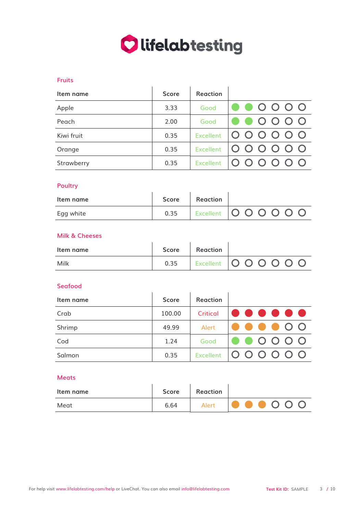

### Fruits

| Item name  | <b>Score</b> | Reaction         |                        |
|------------|--------------|------------------|------------------------|
| Apple      | 3.33         | Good             | $\bullet\bullet$ 0000  |
| Peach      | 2.00         | Good             | $\bullet \bullet$ 0000 |
| Kiwi fruit | 0.35         | <b>Excellent</b> | 000000                 |
| Orange     | 0.35         | <b>Excellent</b> | 000000                 |
| Strawberry | 0.35         | <b>Excellent</b> | 000000                 |

# Poultry

| .         |       |          |                         |
|-----------|-------|----------|-------------------------|
| Item name | Score | Reaction |                         |
| Egg white | 0.35  |          | Excellent   0 0 0 0 0 0 |

# Milk & Cheeses

| Item name | <b>Score</b> | Reaction |                         |
|-----------|--------------|----------|-------------------------|
| Milk      | 0.35         |          | Excellent   0 0 0 0 0 0 |

#### Seafood

| Item name | <b>Score</b> | <b>Reaction</b> |                                                     |
|-----------|--------------|-----------------|-----------------------------------------------------|
| Crab      | 100.00       | Critical        | .                                                   |
| Shrimp    | 49.99        | Alert           | $\bullet\bullet\bullet\bullet\circ\circ$            |
| Cod       | 1.24         | Good            | $\bullet$ $\bullet$ $\circ$ $\circ$ $\circ$ $\circ$ |
| Salmon    | 0.35         |                 | Excellent   0 0 0 0 0 0                             |

# Meats

| Item name | Score | Reaction |                                             |
|-----------|-------|----------|---------------------------------------------|
| Meat      | 6.64  | Alert    | $\bullet \bullet \bullet \circ \circ \circ$ |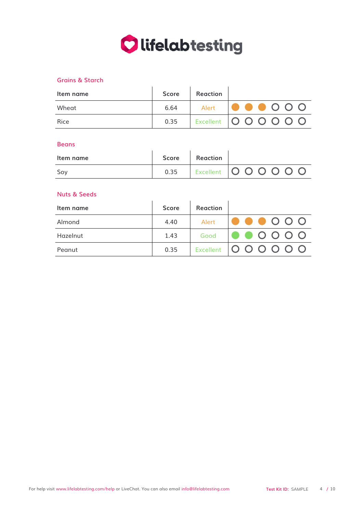

## Grains & Starch

| Item name | <b>Score</b> | Reaction |                                             |
|-----------|--------------|----------|---------------------------------------------|
| Wheat     | 6.64         | Alert    | $\bullet$ $\bullet$ $\circ$ $\circ$ $\circ$ |
| Rice      | 0.35         |          | Excellent   0 0 0 0 0 0                     |

#### **Beans**

| Item name | Score Reaction |                                |
|-----------|----------------|--------------------------------|
| Sov       |                | 0.35   Excellent   0 0 0 0 0 0 |

#### Nuts & Seeds

| Item name | <b>Score</b> | Reaction |                                                     |
|-----------|--------------|----------|-----------------------------------------------------|
| Almond    | 4.40         | Alert    | $\bullet \bullet \bullet \circ \circ \circ$         |
| Hazelnut  | 1.43         | Good     | $\bullet$ $\bullet$ $\circ$ $\circ$ $\circ$ $\circ$ |
| Peanut    | 0.35         |          | Excellent   0 0 0 0 0 0                             |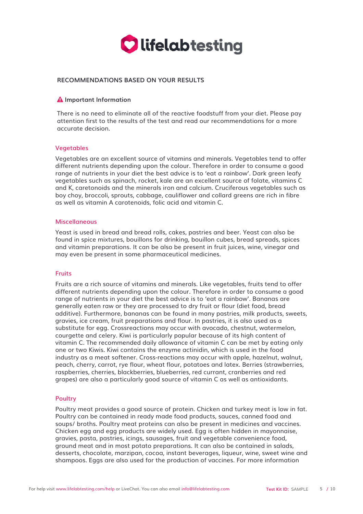

#### RECOMMENDATIONS BASED ON YOUR RESULTS

#### **A** Important Information

There is no need to eliminate all of the reactive foodstuff from your diet. Please pay attention first to the results of the test and read our recommendations for a more accurate decision.

#### Vegetables

Vegetables are an excellent source of vitamins and minerals. Vegetables tend to offer different nutrients depending upon the colour. Therefore in order to consume a good range of nutrients in your diet the best advice is to 'eat a rainbow'. Dark green leafy vegetables such as spinach, rocket, kale are an excellent source of folate, vitamins C and K, caretonoids and the minerals iron and calcium. Cruciferous vegetables such as boy choy, broccoli, sprouts, cabbage, cauliflower and collard greens are rich in fibre as well as vitamin A carotenoids, folic acid and vitamin C.

#### Miscellaneous

Yeast is used in bread and bread rolls, cakes, pastries and beer. Yeast can also be found in spice mixtures, bouillons for drinking, bouillon cubes, bread spreads, spices and vitamin preparations. It can be also be present in fruit juices, wine, vinegar and may even be present in some pharmaceutical medicines.

#### Fruits

Fruits are a rich source of vitamins and minerals. Like vegetables, fruits tend to offer different nutrients depending upon the colour. Therefore in order to consume a good range of nutrients in your diet the best advice is to 'eat a rainbow'. Bananas are generally eaten raw or they are processed to dry fruit or flour (diet food, bread additive). Furthermore, bananas can be found in many pastries, milk products, sweets, gravies, ice cream, fruit preparations and flour. In pastries, it is also used as a substitute for egg. Crossreactions may occur with avocado, chestnut, watermelon, courgette and celery. Kiwi is particularly popular because of its high content of vitamin C. The recommended daily allowance of vitamin C can be met by eating only one or two Kiwis. Kiwi contains the enzyme actinidin, which is used in the food industry as a meat softener. Cross-reactions may occur with apple, hazelnut, walnut, peach, cherry, carrot, rye flour, wheat flour, potatoes and latex. Berries (strawberries, raspberries, cherries, blackberries, blueberries, red currant, cranberries and red grapes) are also a particularly good source of vitamin C as well as antioxidants.

#### Poultry

Poultry meat provides a good source of protein. Chicken and turkey meat is low in fat. Poultry can be contained in ready made food products, sauces, canned food and soups/ broths. Poultry meat proteins can also be present in medicines and vaccines. Chicken egg and egg products are widely used. Egg is often hidden in mayonnaise, gravies, pasta, pastries, icings, sausages, fruit and vegetable convenience food, ground meat and in most potato preparations. It can also be contained in salads, desserts, chocolate, marzipan, cocoa, instant beverages, liqueur, wine, sweet wine and shampoos. Eggs are also used for the production of vaccines. For more information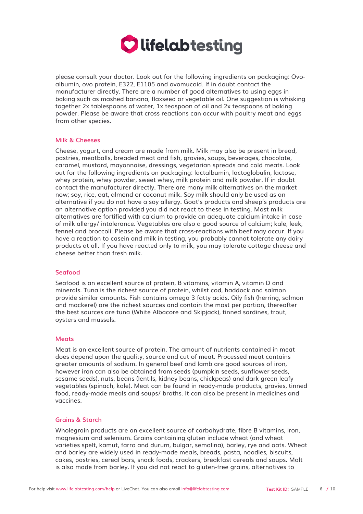

please consult your doctor. Look out for the following ingredients on packaging: Ovoalbumin, ovo protein, E322, E1105 and ovomucoid. If in doubt contact the manufacturer directly. There are a number of good alternatives to using eggs in baking such as mashed banana, flaxseed or vegetable oil. One suggestion is whisking together 2x tablespoons of water, 1x teaspoon of oil and 2x teaspoons of baking powder. Please be aware that cross reactions can occur with poultry meat and eggs from other species.

#### Milk & Cheeses

Cheese, yogurt, and cream are made from milk. Milk may also be present in bread, pastries, meatballs, breaded meat and fish, gravies, soups, beverages, chocolate, caramel, mustard, mayonnaise, dressings, vegetarian spreads and cold meats. Look out for the following ingredients on packaging: lactalbumin, lactoglobulin, lactose, whey protein, whey powder, sweet whey, milk protein and milk powder. If in doubt contact the manufacturer directly. There are many milk alternatives on the market now; soy, rice, oat, almond or coconut milk. Soy milk should only be used as an alternative if you do not have a soy allergy. Goat's products and sheep's products are an alternative option provided you did not react to these in testing. Most milk alternatives are fortified with calcium to provide an adequate calcium intake in case of milk allergy/ intolerance. Vegetables are also a good source of calcium; kale, leek, fennel and broccoli. Please be aware that cross-reactions with beef may occur. If you have a reaction to casein and milk in testing, you probably cannot tolerate any dairy products at all. If you have reacted only to milk, you may tolerate cottage cheese and cheese better than fresh milk.

#### Seafood

Seafood is an excellent source of protein, B vitamins, vitamin A, vitamin D and minerals. Tuna is the richest source of protein, whilst cod, haddock and salmon provide similar amounts. Fish contains omega 3 fatty acids. Oily fish (herring, salmon and mackerel) are the richest sources and contain the most per portion, thereafter the best sources are tuna (White Albacore and Skipjack), tinned sardines, trout, oysters and mussels.

#### Meats

Meat is an excellent source of protein. The amount of nutrients contained in meat does depend upon the quality, source and cut of meat. Processed meat contains greater amounts of sodium. In general beef and lamb are good sources of iron, however iron can also be obtained from seeds (pumpkin seeds, sunflower seeds, sesame seeds), nuts, beans (lentils, kidney beans, chickpeas) and dark green leafy vegetables (spinach, kale). Meat can be found in ready-made products, gravies, tinned food, ready-made meals and soups/ broths. It can also be present in medicines and vaccines.

#### Grains & Starch

Wholegrain products are an excellent source of carbohydrate, fibre B vitamins, iron, magnesium and selenium. Grains containing gluten include wheat (and wheat varieties spelt, kamut, farro and durum, bulgar, semolina), barley, rye and oats. Wheat and barley are widely used in ready-made meals, breads, pasta, noodles, biscuits, cakes, pastries, cereal bars, snack foods, crackers, breakfast cereals and soups. Malt is also made from barley. If you did not react to gluten-free grains, alternatives to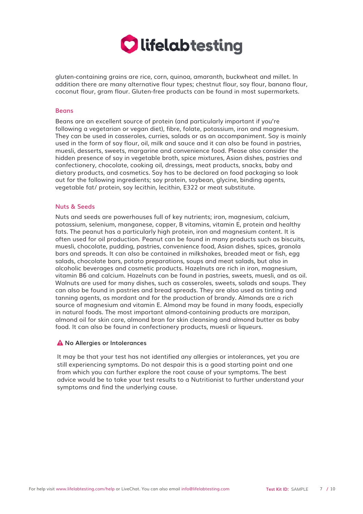

gluten-containing grains are rice, corn, quinoa, amaranth, buckwheat and millet. In addition there are many alternative flour types; chestnut flour, soy flour, banana flour, coconut flour, gram flour. Gluten-free products can be found in most supermarkets.

#### **Beans**

Beans are an excellent source of protein (and particularly important if you're following a vegetarian or vegan diet), fibre, folate, potassium, iron and magnesium. They can be used in casseroles, curries, salads or as an accompaniment. Soy is mainly used in the form of soy flour, oil, milk and sauce and it can also be found in pastries, muesli, desserts, sweets, margarine and convenience food. Please also consider the hidden presence of soy in vegetable broth, spice mixtures, Asian dishes, pastries and confectionery, chocolate, cooking oil, dressings, meat products, snacks, baby and dietary products, and cosmetics. Soy has to be declared on food packaging so look out for the following ingredients; soy protein, soybean, glycine, binding agents, vegetable fat/ protein, soy lecithin, lecithin, E322 or meat substitute.

#### Nuts & Seeds

Nuts and seeds are powerhouses full of key nutrients; iron, magnesium, calcium, potassium, selenium, manganese, copper, B vitamins, vitamin E, protein and healthy fats. The peanut has a particularly high protein, iron and magnesium content. It is often used for oil production. Peanut can be found in many products such as biscuits, muesli, chocolate, pudding, pastries, convenience food, Asian dishes, spices, granola bars and spreads. It can also be contained in milkshakes, breaded meat or fish, egg salads, chocolate bars, potato preparations, soups and meat salads, but also in alcoholic beverages and cosmetic products. Hazelnuts are rich in iron, magnesium, vitamin B6 and calcium. Hazelnuts can be found in pastries, sweets, muesli, and as oil. Walnuts are used for many dishes, such as casseroles, sweets, salads and soups. They can also be found in pastries and bread spreads. They are also used as tinting and tanning agents, as mordant and for the production of brandy. Almonds are a rich source of magnesium and vitamin E. Almond may be found in many foods, especially in natural foods. The most important almond-containing products are marzipan, almond oil for skin care, almond bran for skin cleansing and almond butter as baby food. It can also be found in confectionery products, muesli or liqueurs.

#### A No Allergies or Intolerances

It may be that your test has not identified any allergies or intolerances, yet you are still experiencing symptoms. Do not despair this is a good starting point and one from which you can further explore the root cause of your symptoms. The best advice would be to take your test results to a Nutritionist to further understand your symptoms and find the underlying cause.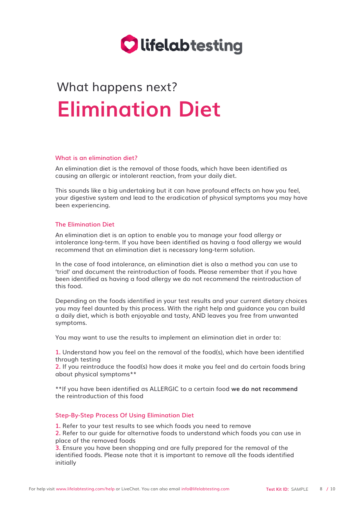

# What happens next? **Elimination Diet**

#### What is an elimination diet?

An elimination diet is the removal of those foods, which have been identified as causing an allergic or intolerant reaction, from your daily diet.

This sounds like a big undertaking but it can have profound effects on how you feel, your digestive system and lead to the eradication of physical symptoms you may have been experiencing.

#### The Elimination Diet

An elimination diet is an option to enable you to manage your food allergy or intolerance long-term. If you have been identified as having a food allergy we would recommend that an elimination diet is necessary long-term solution.

In the case of food intolerance, an elimination diet is also a method you can use to 'trial' and document the reintroduction of foods. Please remember that if you have been identified as having a food allergy we do not recommend the reintroduction of this food.

Depending on the foods identified in your test results and your current dietary choices you may feel daunted by this process. With the right help and guidance you can build a daily diet, which is both enjoyable and tasty, AND leaves you free from unwanted symptoms.

You may want to use the results to implement an elimination diet in order to:

1. Understand how you feel on the removal of the food(s), which have been identified through testing

2. If you reintroduce the food(s) how does it make you feel and do certain foods bring about physical symptoms\*\*

\*\*If you have been identified as ALLERGIC to a certain food we do not recommend the reintroduction of this food

#### Step-By-Step Process Of Using Elimination Diet

1. Refer to your test results to see which foods you need to remove

2. Refer to our guide for alternative foods to understand which foods you can use in place of the removed foods

 Ensure you have been shopping and are fully prepared for the removal of the identified foods. Please note that it is important to remove all the foods identified initially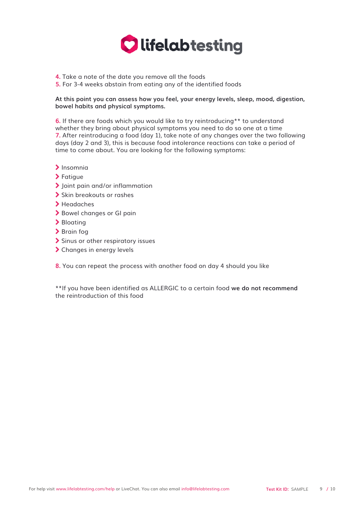

- 4. Take a note of the date you remove all the foods
- **5.** For 3-4 weeks abstain from eating any of the identified foods

### At this point you can assess how you feel, your energy levels, sleep, mood, digestion, bowel habits and physical symptoms.

6. If there are foods which you would like to try reintroducing\*\* to understand whether they bring about physical symptoms you need to do so one at a time 7. After reintroducing a food (day 1), take note of any changes over the two following days (day 2 and 3), this is because food intolerance reactions can take a period of time to come about. You are looking for the following symptoms:

- Z Insomnia
- $\blacktriangleright$  Fatigue
- > Joint pain and/or inflammation
- > Skin breakouts or rashes
- > Headaches
- > Bowel changes or GI pain
- > Bloating
- > Brain fog
- > Sinus or other respiratory issues
- > Changes in energy levels

8. You can repeat the process with another food on day 4 should you like

\*\*If you have been identified as ALLERGIC to a certain food we do not recommend the reintroduction of this food